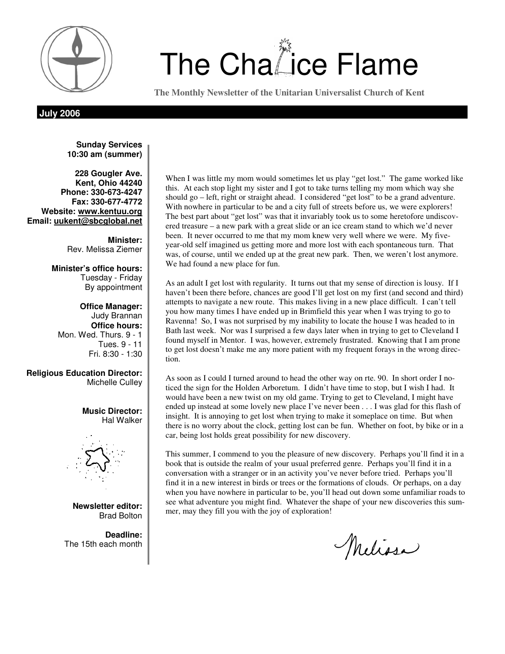

# $\left(\begin{array}{cc} \Psi \\ \hline \end{array}\right)$  The Cha $\ddot{\mathbb{Z}}$ ice Flame

**The Monthly Newsletter of the Unitarian Universalist Church of Kent** 

**July 2006** 

**Sunday Services 10:30 am (summer)** 

**228 Gougler Ave. Kent, Ohio 44240 Phone: 330-673-4247 Fax: 330-677-4772 Website: www.kentuu.org Email: uukent@sbcglobal.net**

> **Minister:**  Rev. Melissa Ziemer

**Minister's office hours:**  Tuesday - Friday By appointment

**Office Manager:** Judy Brannan **Office hours:** Mon. Wed. Thurs. 9 - 1 Tues. 9 - 11 Fri. 8:30 - 1:30

**Religious Education Director:**  Michelle Culley

> **Music Director:**  Hal Walker



**Newsletter editor:**  Brad Bolton

**Deadline:**  The 15th each month

When I was little my mom would sometimes let us play "get lost." The game worked like this. At each stop light my sister and I got to take turns telling my mom which way she should go – left, right or straight ahead. I considered "get lost" to be a grand adventure. With nowhere in particular to be and a city full of streets before us, we were explorers! The best part about "get lost" was that it invariably took us to some heretofore undiscovered treasure – a new park with a great slide or an ice cream stand to which we'd never been. It never occurred to me that my mom knew very well where we were. My fiveyear-old self imagined us getting more and more lost with each spontaneous turn. That was, of course, until we ended up at the great new park. Then, we weren't lost anymore. We had found a new place for fun.

As an adult I get lost with regularity. It turns out that my sense of direction is lousy. If I haven't been there before, chances are good I'll get lost on my first (and second and third) attempts to navigate a new route. This makes living in a new place difficult. I can't tell you how many times I have ended up in Brimfield this year when I was trying to go to Ravenna! So, I was not surprised by my inability to locate the house I was headed to in Bath last week. Nor was I surprised a few days later when in trying to get to Cleveland I found myself in Mentor. I was, however, extremely frustrated. Knowing that I am prone to get lost doesn't make me any more patient with my frequent forays in the wrong direction.

As soon as I could I turned around to head the other way on rte. 90. In short order I noticed the sign for the Holden Arboretum. I didn't have time to stop, but I wish I had. It would have been a new twist on my old game. Trying to get to Cleveland, I might have ended up instead at some lovely new place I've never been . . . I was glad for this flash of insight. It is annoying to get lost when trying to make it someplace on time. But when there is no worry about the clock, getting lost can be fun. Whether on foot, by bike or in a car, being lost holds great possibility for new discovery.

This summer, I commend to you the pleasure of new discovery. Perhaps you'll find it in a book that is outside the realm of your usual preferred genre. Perhaps you'll find it in a conversation with a stranger or in an activity you've never before tried. Perhaps you'll find it in a new interest in birds or trees or the formations of clouds. Or perhaps, on a day when you have nowhere in particular to be, you'll head out down some unfamiliar roads to see what adventure you might find. Whatever the shape of your new discoveries this summer, may they fill you with the joy of exploration!

Melissa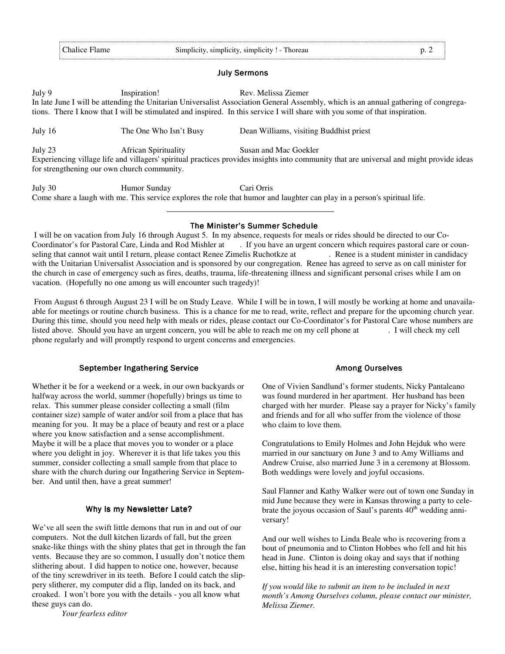#### **July Sermons**

#### July 9 Inspiration! Rev. Melissa Ziemer

In late June I will be attending the Unitarian Universalist Association General Assembly, which is an annual gathering of congregations. There I know that I will be stimulated and inspired. In this service I will share with you some of that inspiration.

July 16 The One Who Isn't Busy Dean Williams, visiting Buddhist priest

July 23 African Spirituality Susan and Mac Goekler Experiencing village life and villagers' spiritual practices provides insights into community that are universal and might provide ideas for strengthening our own church community.

July 30 Humor Sunday Cari Orris Come share a laugh with me. This service explores the role that humor and laughter can play in a person's spiritual life.

#### The Minister's Summer Schedule

 I will be on vacation from July 16 through August 5. In my absence, requests for meals or rides should be directed to our Co-. If you have an urgent concern which requires pastoral care or counseling that cannot wait until I return, please contact Renee Zimelis Ruchotkze at . Renee is a student minister in candidacy with the Unitarian Universalist Association and is sponsored by our congregation. Renee has agreed to serve as on call minister for the church in case of emergency such as fires, deaths, trauma, life-threatening illness and significant personal crises while I am on vacation. (Hopefully no one among us will encounter such tragedy)!

 From August 6 through August 23 I will be on Study Leave. While I will be in town, I will mostly be working at home and unavailaable for meetings or routine church business. This is a chance for me to read, write, reflect and prepare for the upcoming church year. During this time, should you need help with meals or rides, please contact our Co-Coordinator's for Pastoral Care whose numbers are listed above. Should you have an urgent concern, you will be able to reach me on my cell phone at . I will check my cell phone regularly and will promptly respond to urgent concerns and emergencies.

# September Ingathering Service

Whether it be for a weekend or a week, in our own backyards or halfway across the world, summer (hopefully) brings us time to relax. This summer please consider collecting a small (film container size) sample of water and/or soil from a place that has meaning for you. It may be a place of beauty and rest or a place where you know satisfaction and a sense accomplishment. Maybe it will be a place that moves you to wonder or a place where you delight in joy. Wherever it is that life takes you this summer, consider collecting a small sample from that place to share with the church during our Ingathering Service in September. And until then, have a great summer!

#### Why Is my Newsletter Late?

We've all seen the swift little demons that run in and out of our computers. Not the dull kitchen lizards of fall, but the green snake-like things with the shiny plates that get in through the fan vents. Because they are so common, I usually don't notice them slithering about. I did happen to notice one, however, because of the tiny screwdriver in its teeth. Before I could catch the slippery slitherer, my computer did a flip, landed on its back, and croaked. I won't bore you with the details - you all know what these guys can do.

*Your fearless editor*

#### **Among Ourselves**

One of Vivien Sandlund's former students, Nicky Pantaleano was found murdered in her apartment. Her husband has been charged with her murder. Please say a prayer for Nicky's family and friends and for all who suffer from the violence of those who claim to love them.

Congratulations to Emily Holmes and John Hejduk who were married in our sanctuary on June 3 and to Amy Williams and Andrew Cruise, also married June 3 in a ceremony at Blossom. Both weddings were lovely and joyful occasions.

Saul Flanner and Kathy Walker were out of town one Sunday in mid June because they were in Kansas throwing a party to celebrate the joyous occasion of Saul's parents  $40<sup>th</sup>$  wedding anniversary!

And our well wishes to Linda Beale who is recovering from a bout of pneumonia and to Clinton Hobbes who fell and hit his head in June. Clinton is doing okay and says that if nothing else, hitting his head it is an interesting conversation topic!

*If you would like to submit an item to be included in next month's Among Ourselves column, please contact our minister, Melissa Ziemer.*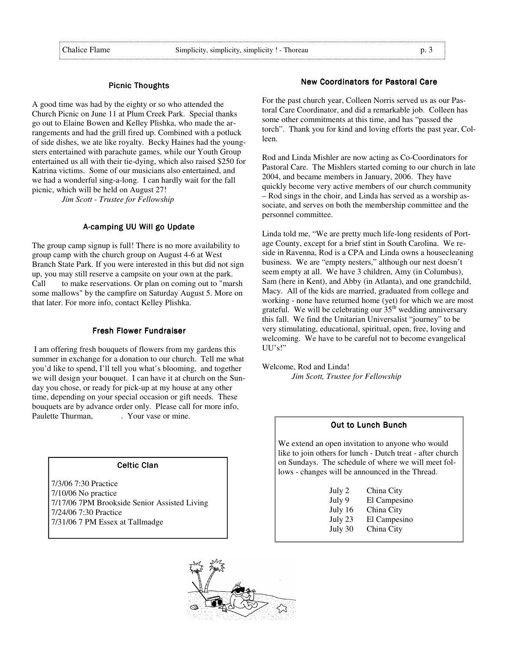#### Picnic Thoughts

A good time was had by the eighty or so who attended the Church Picnic on June 11 at Plum Creek Park. Special thanks go out to Elaine Bowen and Kelley Plishka, who made the arrangements and had the grill fired up. Combined with a potluck of side dishes, we ate like royalty. Becky Haines had the youngsters entertained with parachute games, while our Youth Group entertained us all with their tie-dying, which also raised \$250 for Katrina victims. Some of our musicians also entertained, and we had a wonderful sing-a-long. I can hardly wait for the fall picnic, which will be held on August 27!

 *Jim Scott - Trustee for Fellowship* 

# A-camping UU Will go Update

The group camp signup is full! There is no more availability to group camp with the church group on August 4-6 at West Branch State Park. If you were interested in this but did not sign up, you may still reserve a campsite on your own at the park. Call to make reservations. Or plan on coming out to "marsh" some mallows" by the campfire on Saturday August 5. More on that later. For more info, contact Kelley Plishka.

# Fresh Flower Fundraiser

 I am offering fresh bouquets of flowers from my gardens this summer in exchange for a donation to our church. Tell me what you'd like to spend, I'll tell you what's blooming, and together we will design your bouquet. I can have it at church on the Sunday you chose, or ready for pick-up at my house at any other time, depending on your special occasion or gift needs. These bouquets are by advance order only. Please call for more info, Paulette Thurman, The Your vase or mine.

#### Celtic Clan

7/3/06 7:30 Practice 7/10/06 No practice 7/17/06 7PM Brookside Senior Assisted Living 7/24/06 7:30 Practice 7/31/06 7 PM Essex at Tallmadge

# **New Coordinators for Pastoral Care**

For the past church year, Colleen Norris served us as our Pastoral Care Coordinator, and did a remarkable job. Colleen has some other commitments at this time, and has "passed the torch". Thank you for kind and loving efforts the past year, Colleen.

Rod and Linda Mishler are now acting as Co-Coordinators for Pastoral Care. The Mishlers started coming to our church in late 2004, and became members in January, 2006. They have quickly become very active members of our church community – Rod sings in the choir, and Linda has served as a worship associate, and serves on both the membership committee and the personnel committee.

Linda told me, "We are pretty much life-long residents of Portage County, except for a brief stint in South Carolina. We reside in Ravenna, Rod is a CPA and Linda owns a housecleaning business. We are "empty nesters," although our nest doesn't seem empty at all. We have 3 children, Amy (in Columbus), Sam (here in Kent), and Abby (in Atlanta), and one grandchild, Macy. All of the kids are married, graduated from college and working - none have returned home (yet) for which we are most grateful. We will be celebrating our  $35<sup>th</sup>$  wedding anniversary this fall. We find the Unitarian Universalist "journey" to be very stimulating, educational, spiritual, open, free, loving and welcoming. We have to be careful not to become evangelical UU's!"

Welcome, Rod and Linda! *Jim Scott, Trustee for Fellowship* 

#### **Out to Lunch Bunch**

We extend an open invitation to anyone who would like to join others for lunch - Dutch treat - after church on Sundays. The schedule of where we will meet follows - changes will be announced in the Thread.

| July 2  | China City   |
|---------|--------------|
| July 9  | El Campesino |
| July 16 | China City   |
| July 23 | El Campesino |
| July 30 | China City   |
|         |              |

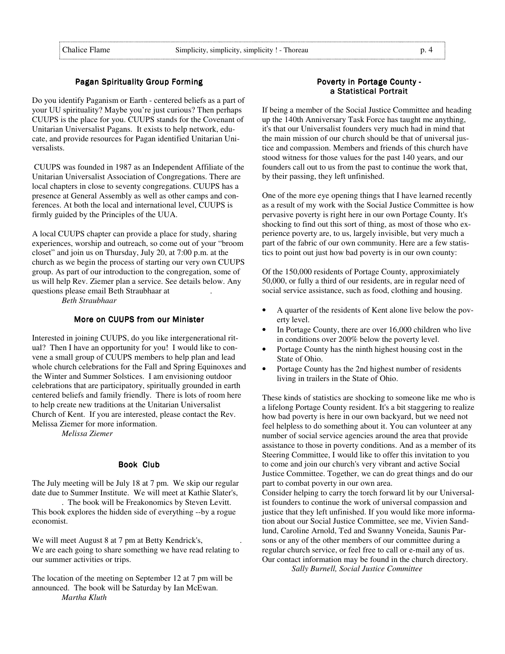# Pagan Spirituality Group Forming

Do you identify Paganism or Earth - centered beliefs as a part of your UU spirituality? Maybe you're just curious? Then perhaps CUUPS is the place for you. CUUPS stands for the Covenant of Unitarian Universalist Pagans. It exists to help network, educate, and provide resources for Pagan identified Unitarian Universalists.

 CUUPS was founded in 1987 as an Independent Affiliate of the Unitarian Universalist Association of Congregations. There are local chapters in close to seventy congregations. CUUPS has a presence at General Assembly as well as other camps and conferences. At both the local and international level, CUUPS is firmly guided by the Principles of the UUA.

A local CUUPS chapter can provide a place for study, sharing experiences, worship and outreach, so come out of your "broom closet" and join us on Thursday, July 20, at 7:00 p.m. at the church as we begin the process of starting our very own CUUPS group. As part of our introduction to the congregation, some of us will help Rev. Ziemer plan a service. See details below. Any questions please email Beth Straubhaar at .

 *Beth Straubhaar* 

# More on CUUPS from our Minister

Interested in joining CUUPS, do you like intergenerational ritual? Then I have an opportunity for you! I would like to convene a small group of CUUPS members to help plan and lead whole church celebrations for the Fall and Spring Equinoxes and the Winter and Summer Solstices. I am envisioning outdoor celebrations that are participatory, spiritually grounded in earth centered beliefs and family friendly. There is lots of room here to help create new traditions at the Unitarian Universalist Church of Kent. If you are interested, please contact the Rev. Melissa Ziemer for more information.

 *Melissa Ziemer* 

# Book Club

The July meeting will be July 18 at 7 pm. We skip our regular date due to Summer Institute. We will meet at Kathie Slater's, . The book will be Freakonomics by Steven Levitt.

This book explores the hidden side of everything --by a rogue economist.

We will meet August 8 at 7 pm at Betty Kendrick's, We are each going to share something we have read relating to our summer activities or trips.

The location of the meeting on September 12 at 7 pm will be announced. The book will be Saturday by Ian McEwan. *Martha Kluth*

# Poverty in Portage County a Statistical Portrait

If being a member of the Social Justice Committee and heading up the 140th Anniversary Task Force has taught me anything, it's that our Universalist founders very much had in mind that the main mission of our church should be that of universal justice and compassion. Members and friends of this church have stood witness for those values for the past 140 years, and our founders call out to us from the past to continue the work that, by their passing, they left unfinished.

One of the more eye opening things that I have learned recently as a result of my work with the Social Justice Committee is how pervasive poverty is right here in our own Portage County. It's shocking to find out this sort of thing, as most of those who experience poverty are, to us, largely invisible, but very much a part of the fabric of our own community. Here are a few statistics to point out just how bad poverty is in our own county:

Of the 150,000 residents of Portage County, approximiately 50,000, or fully a third of our residents, are in regular need of social service assistance, such as food, clothing and housing.

- A quarter of the residents of Kent alone live below the poverty level.
- In Portage County, there are over 16,000 children who live in conditions over 200% below the poverty level.
- Portage County has the ninth highest housing cost in the State of Ohio.
- Portage County has the 2nd highest number of residents living in trailers in the State of Ohio.

These kinds of statistics are shocking to someone like me who is a lifelong Portage County resident. It's a bit staggering to realize how bad poverty is here in our own backyard, but we need not feel helpless to do something about it. You can volunteer at any number of social service agencies around the area that provide assistance to those in poverty conditions. And as a member of its Steering Committee, I would like to offer this invitation to you to come and join our church's very vibrant and active Social Justice Committee. Together, we can do great things and do our part to combat poverty in our own area.

Consider helping to carry the torch forward lit by our Universalist founders to continue the work of universal compassion and justice that they left unfinished. If you would like more information about our Social Justice Committee, see me, Vivien Sandlund, Caroline Arnold, Ted and Swanny Voneida, Saunis Parsons or any of the other members of our committee during a regular church service, or feel free to call or e-mail any of us. Our contact information may be found in the church directory.

*Sally Burnell, Social Justice Committee*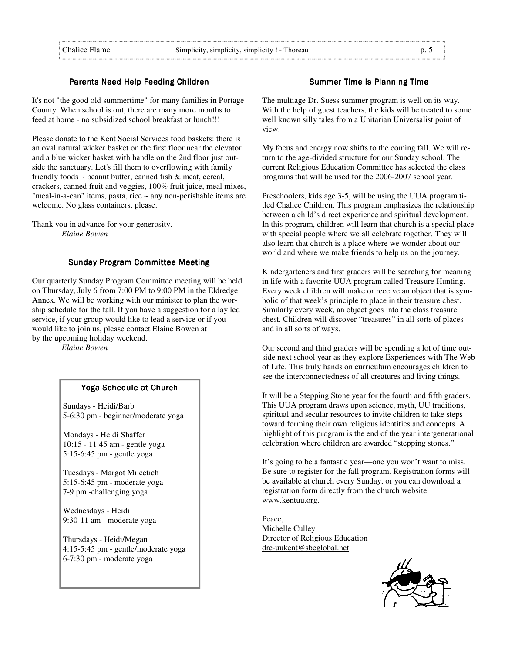# Parents Need Help Feeding Children

It's not "the good old summertime" for many families in Portage County. When school is out, there are many more mouths to feed at home - no subsidized school breakfast or lunch!!!

Please donate to the Kent Social Services food baskets: there is an oval natural wicker basket on the first floor near the elevator and a blue wicker basket with handle on the 2nd floor just outside the sanctuary. Let's fill them to overflowing with family friendly foods  $\sim$  peanut butter, canned fish  $\&$  meat, cereal, crackers, canned fruit and veggies, 100% fruit juice, meal mixes, "meal-in-a-can" items, pasta, rice ~ any non-perishable items are welcome. No glass containers, please.

Thank you in advance for your generosity. *Elaine Bowen* 

#### Sunday Program Committee Meeting

Our quarterly Sunday Program Committee meeting will be held on Thursday, July 6 from 7:00 PM to 9:00 PM in the Eldredge Annex. We will be working with our minister to plan the worship schedule for the fall. If you have a suggestion for a lay led service, if your group would like to lead a service or if you would like to join us, please contact Elaine Bowen at by the upcoming holiday weekend.

*Elaine Bowen* 

# Yoga Schedule at Church

Sundays - Heidi/Barb 5-6:30 pm - beginner/moderate yoga

Mondays - Heidi Shaffer 10:15 - 11:45 am - gentle yoga 5:15-6:45 pm - gentle yoga

Tuesdays - Margot Milcetich 5:15-6:45 pm - moderate yoga 7-9 pm -challenging yoga

Wednesdays - Heidi 9:30-11 am - moderate yoga

Thursdays - Heidi/Megan 4:15-5:45 pm - gentle/moderate yoga 6-7:30 pm - moderate yoga

# Summer Time is Planning Time

The multiage Dr. Suess summer program is well on its way. With the help of guest teachers, the kids will be treated to some well known silly tales from a Unitarian Universalist point of view.

My focus and energy now shifts to the coming fall. We will return to the age-divided structure for our Sunday school. The current Religious Education Committee has selected the class programs that will be used for the 2006-2007 school year.

Preschoolers, kids age 3-5, will be using the UUA program titled Chalice Children. This program emphasizes the relationship between a child's direct experience and spiritual development. In this program, children will learn that church is a special place with special people where we all celebrate together. They will also learn that church is a place where we wonder about our world and where we make friends to help us on the journey.

Kindergarteners and first graders will be searching for meaning in life with a favorite UUA program called Treasure Hunting. Every week children will make or receive an object that is symbolic of that week's principle to place in their treasure chest. Similarly every week, an object goes into the class treasure chest. Children will discover "treasures" in all sorts of places and in all sorts of ways.

Our second and third graders will be spending a lot of time outside next school year as they explore Experiences with The Web of Life. This truly hands on curriculum encourages children to see the interconnectedness of all creatures and living things.

It will be a Stepping Stone year for the fourth and fifth graders. This UUA program draws upon science, myth, UU traditions, spiritual and secular resources to invite children to take steps toward forming their own religious identities and concepts. A highlight of this program is the end of the year intergenerational celebration where children are awarded "stepping stones."

It's going to be a fantastic year—one you won't want to miss. Be sure to register for the fall program. Registration forms will be available at church every Sunday, or you can download a registration form directly from the church website www.kentuu.org.

Peace, Michelle Culley Director of Religious Education dre-uukent@sbcglobal.net